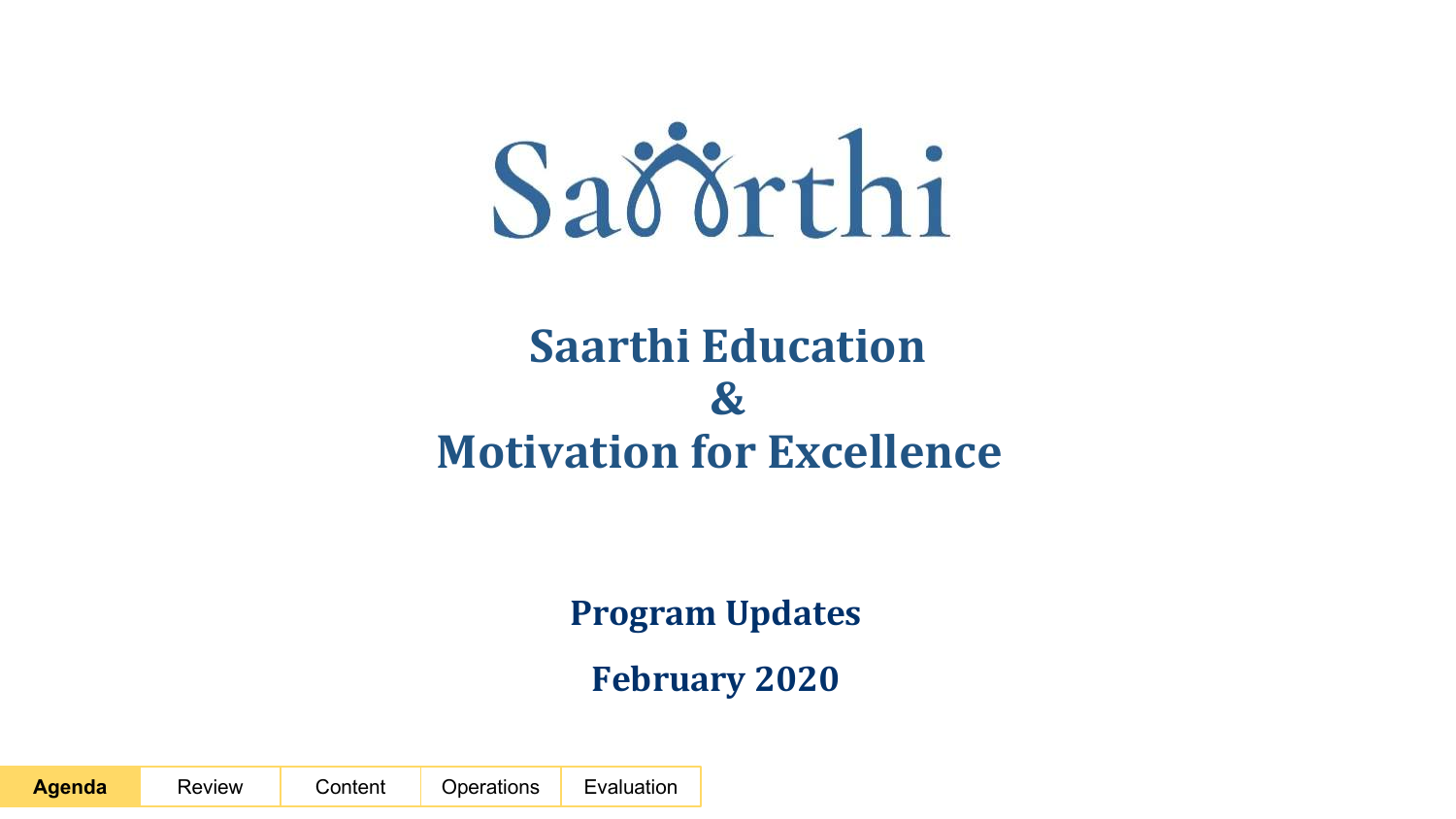

# **Saarthi Education & Motivation for Excellence**

**Program Updates**

**February 2020**

**Agenda** Review Content Operations Evaluation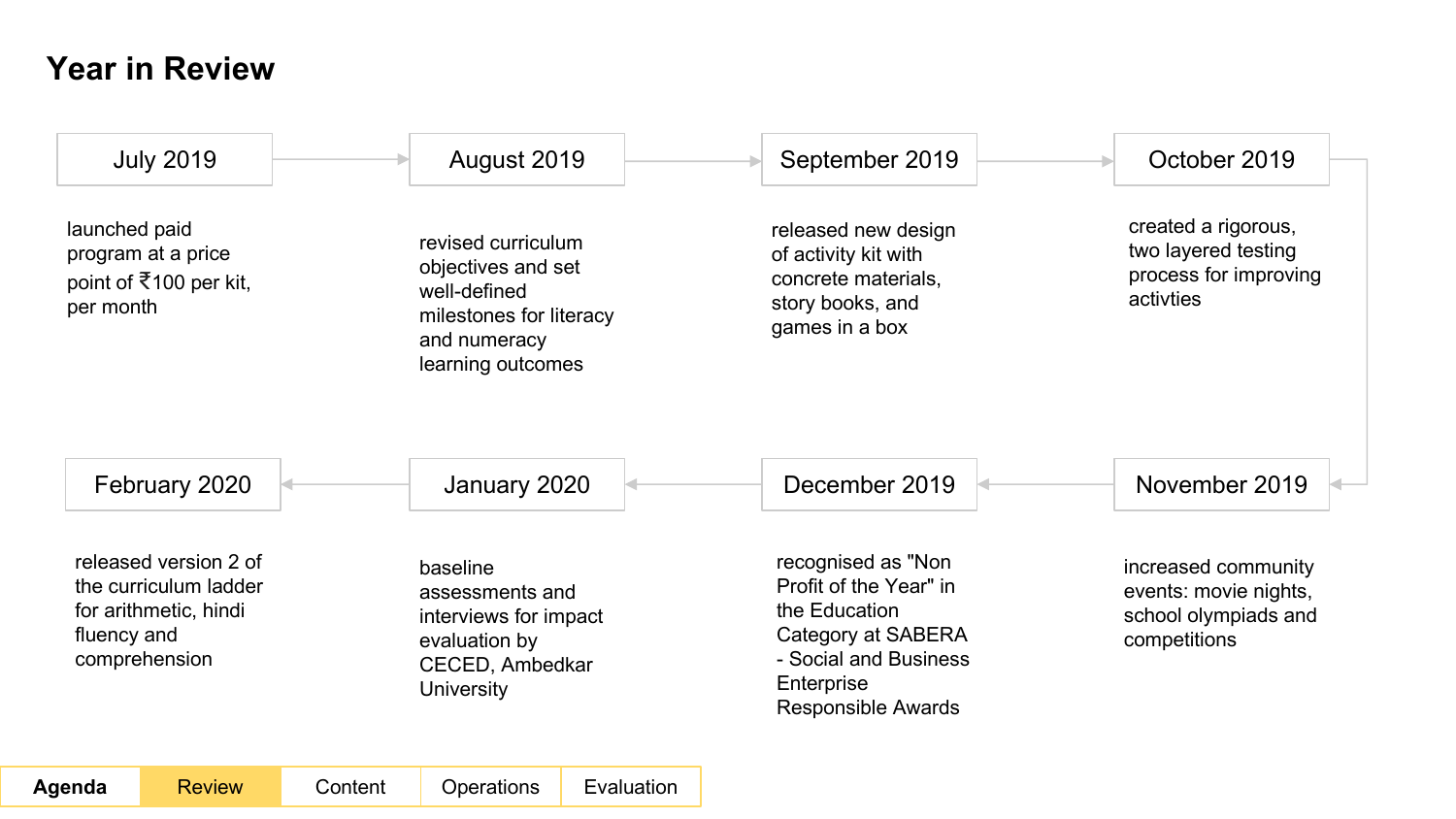### **Year in Review**

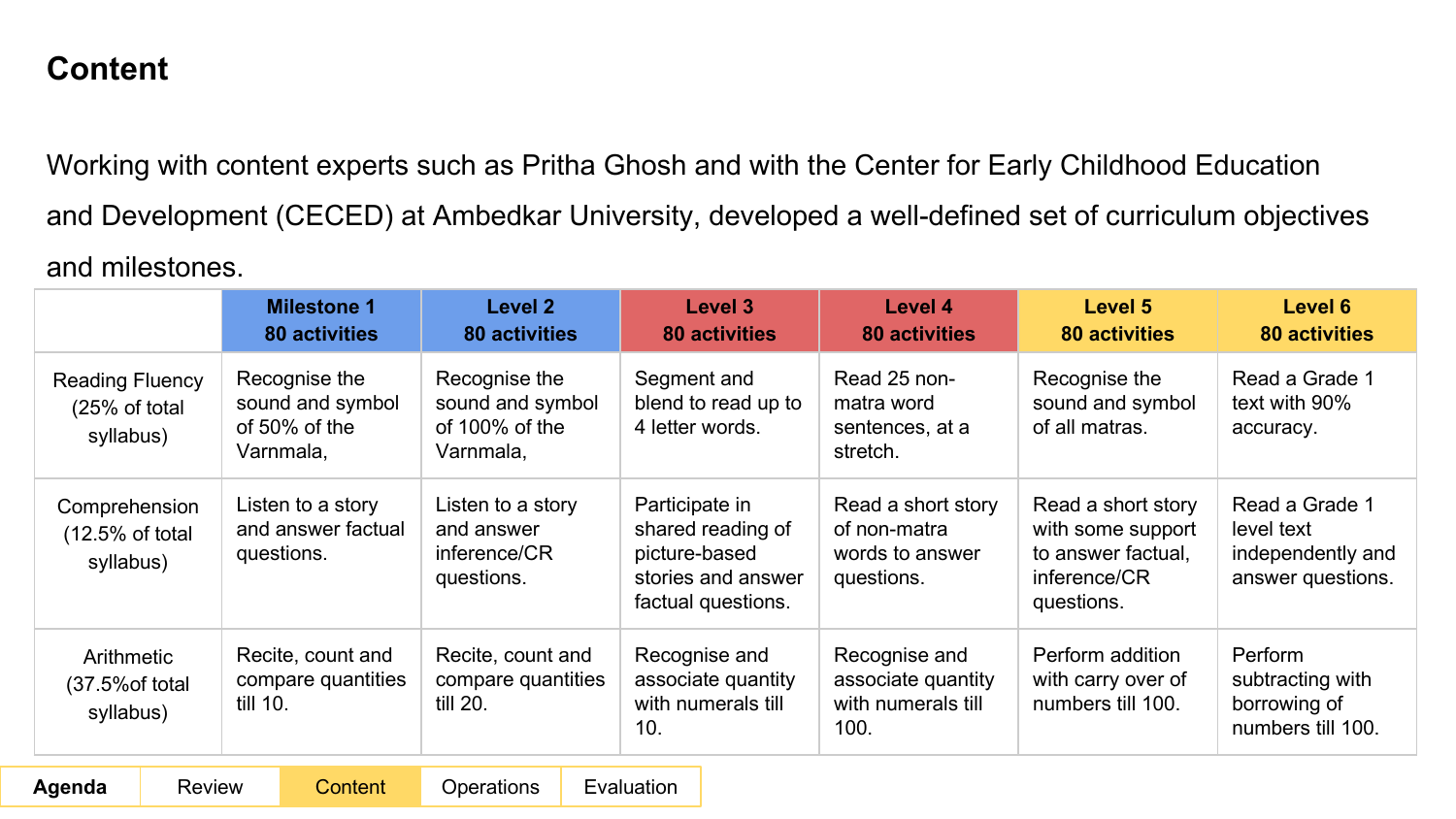Working with content experts such as Pritha Ghosh and with the Center for Early Childhood Education and Development (CECED) at Ambedkar University, developed a well-defined set of curriculum objectives and milestones.

|                                                                 |                                                                                                                        | <b>Milestone 1</b><br><b>80 activities</b>                      | Level 2<br><b>80 activities</b>                                     |                                                                                                  | Level 3<br><b>80 activities</b>                                     | Level 4<br><b>80 activities</b>                                                             | Level 5<br><b>80 activities</b>                                        | Level 6<br>80 activities                                         |
|-----------------------------------------------------------------|------------------------------------------------------------------------------------------------------------------------|-----------------------------------------------------------------|---------------------------------------------------------------------|--------------------------------------------------------------------------------------------------|---------------------------------------------------------------------|---------------------------------------------------------------------------------------------|------------------------------------------------------------------------|------------------------------------------------------------------|
| <b>Reading Fluency</b><br>$(25% \text{ of total})$<br>syllabus) |                                                                                                                        | Recognise the<br>sound and symbol<br>of 50% of the<br>Varnmala, | Recognise the<br>sound and symbol<br>of $100\%$ of the<br>Varnmala, |                                                                                                  | Segment and<br>blend to read up to<br>4 letter words.               | Read 25 non-<br>matra word<br>sentences, at a<br>stretch.                                   | Recognise the<br>sound and symbol<br>of all matras.                    | Read a Grade 1<br>text with 90%<br>accuracy.                     |
| Comprehension<br>$(12.5%$ of total<br>syllabus)                 | Listen to a story<br>Listen to a story<br>and answer factual<br>and answer<br>inference/CR<br>questions.<br>questions. |                                                                 |                                                                     | Participate in<br>shared reading of<br>picture-based<br>stories and answer<br>factual questions. | Read a short story<br>of non-matra<br>words to answer<br>questions. | Read a short story<br>with some support<br>to answer factual,<br>inference/CR<br>questions. | Read a Grade 1<br>level text<br>independently and<br>answer questions. |                                                                  |
| Arithmetic<br>$(37.5\% \text{ of total})$<br>syllabus)          | till 10.                                                                                                               | Recite, count and<br>compare quantities                         | Recite, count and<br>compare quantities<br>till 20.                 |                                                                                                  | Recognise and<br>associate quantity<br>with numerals till<br>10.    | Recognise and<br>associate quantity<br>with numerals till<br>100.                           | Perform addition<br>with carry over of<br>numbers till 100.            | Perform<br>subtracting with<br>borrowing of<br>numbers till 100. |
| Aqenda                                                          | Review                                                                                                                 | Content                                                         | Operations                                                          |                                                                                                  | Evaluation                                                          |                                                                                             |                                                                        |                                                                  |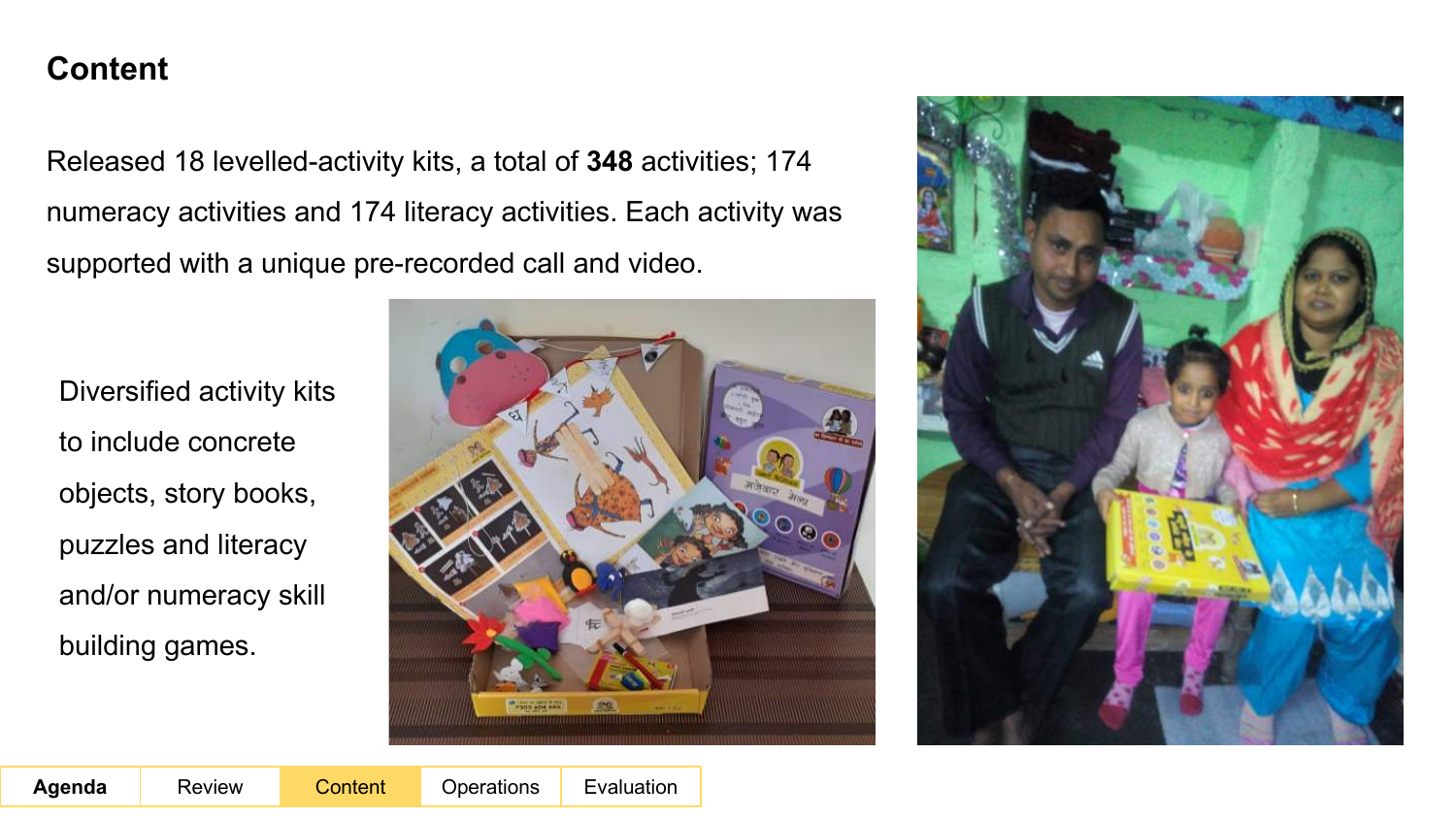Released 18 levelled-activity kits, a total of **348** activities; 174 numeracy activities and 174 literacy activities. Each activity was supported with a unique pre-recorded call and video.

Diversified activity kits to include concrete objects, story books, puzzles and literacy and/or numeracy skill building games.



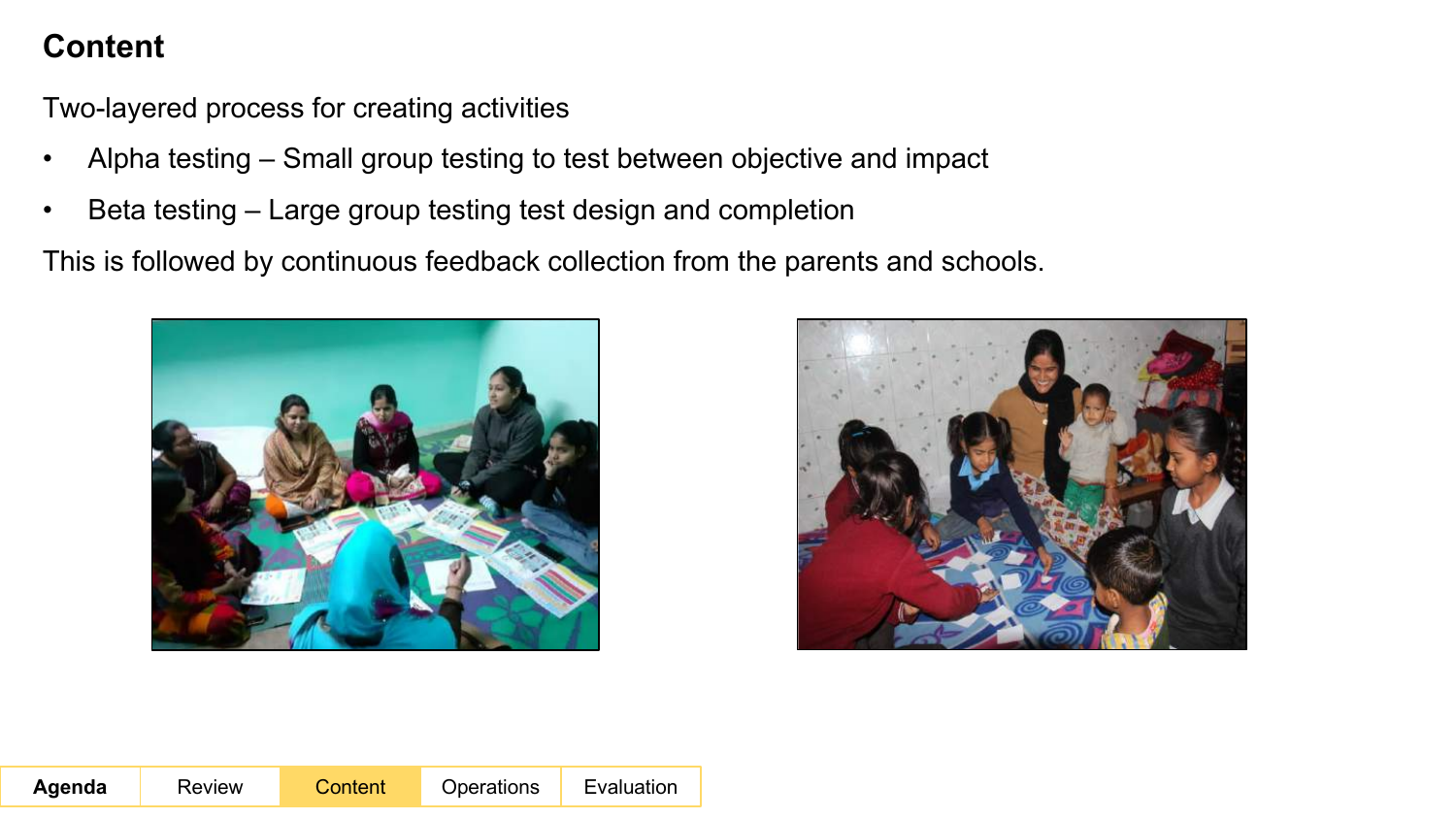Two-layered process for creating activities

- Alpha testing Small group testing to test between objective and impact
- Beta testing Large group testing test design and completion

This is followed by continuous feedback collection from the parents and schools.



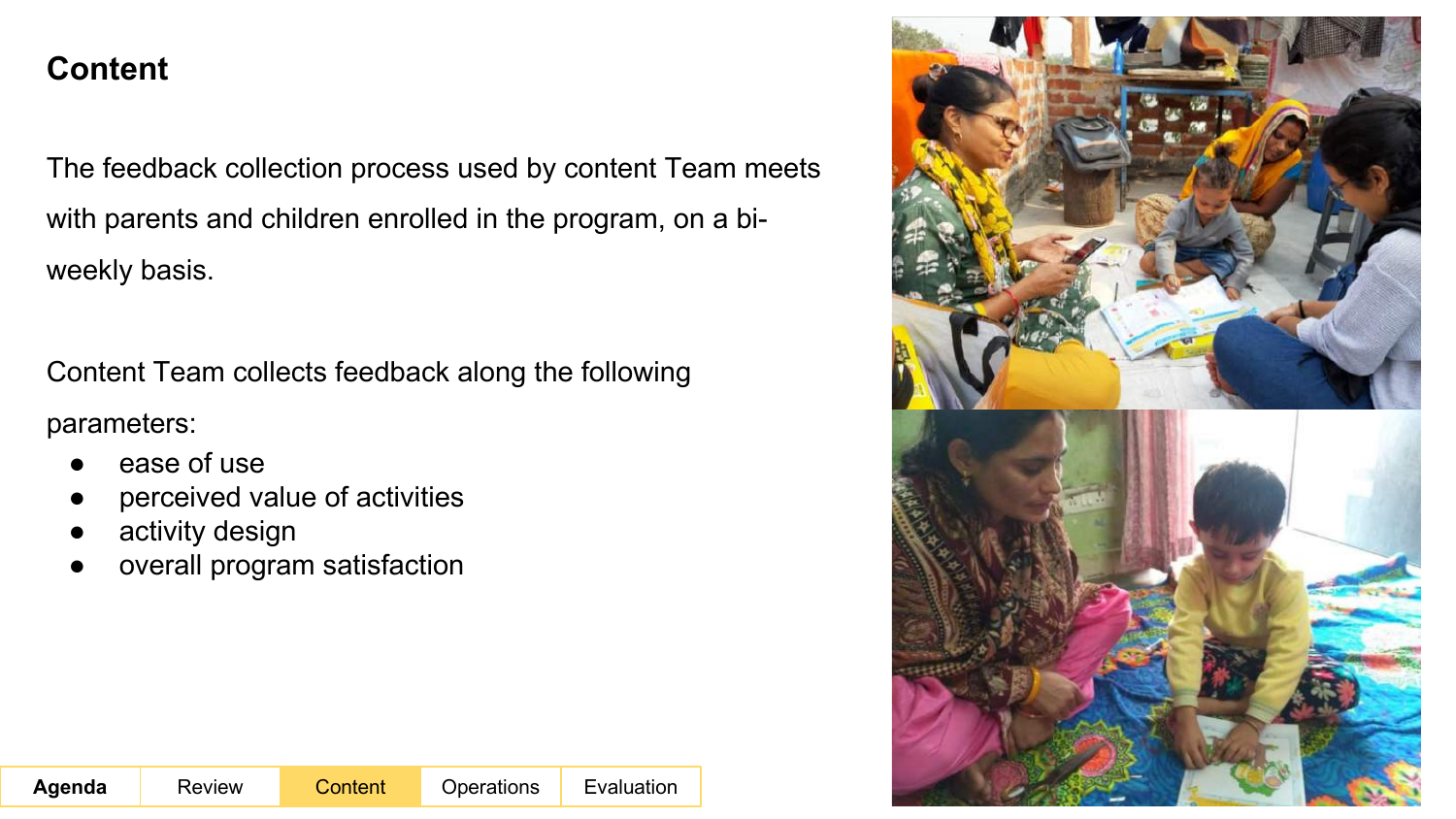The feedback collection process used by content Team meets with parents and children enrolled in the program, on a biweekly basis.

Content Team collects feedback along the following parameters:

- ease of use
- perceived value of activities
- activity design
- overall program satisfaction

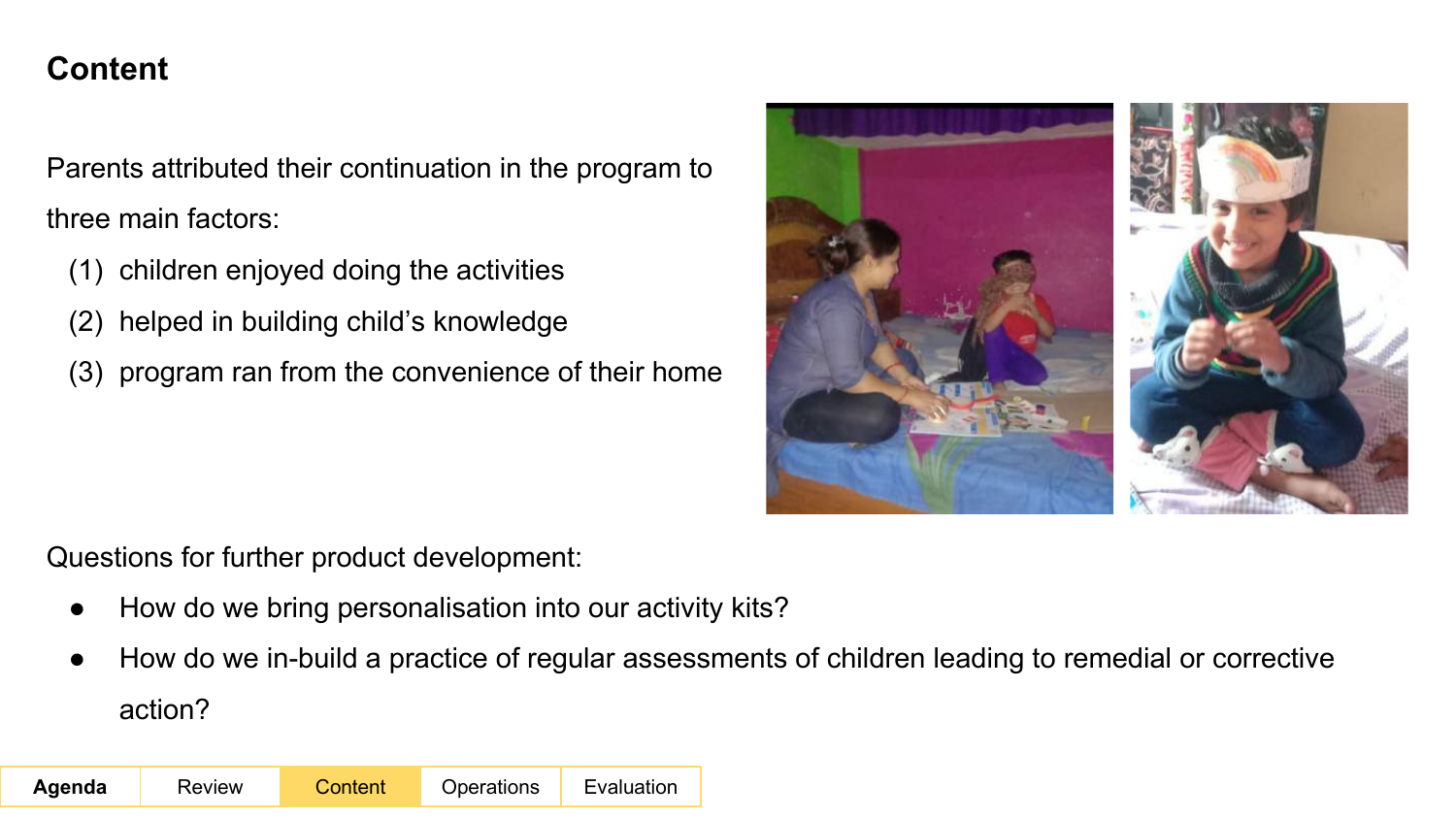Parents attributed their continuation in the program to three main factors:

- (1) children enjoyed doing the activities
- (2) helped in building child's knowledge
- (3) program ran from the convenience of their home



Questions for further product development:

- How do we bring personalisation into our activity kits?
- How do we in-build a practice of regular assessments of children leading to remedial or corrective action?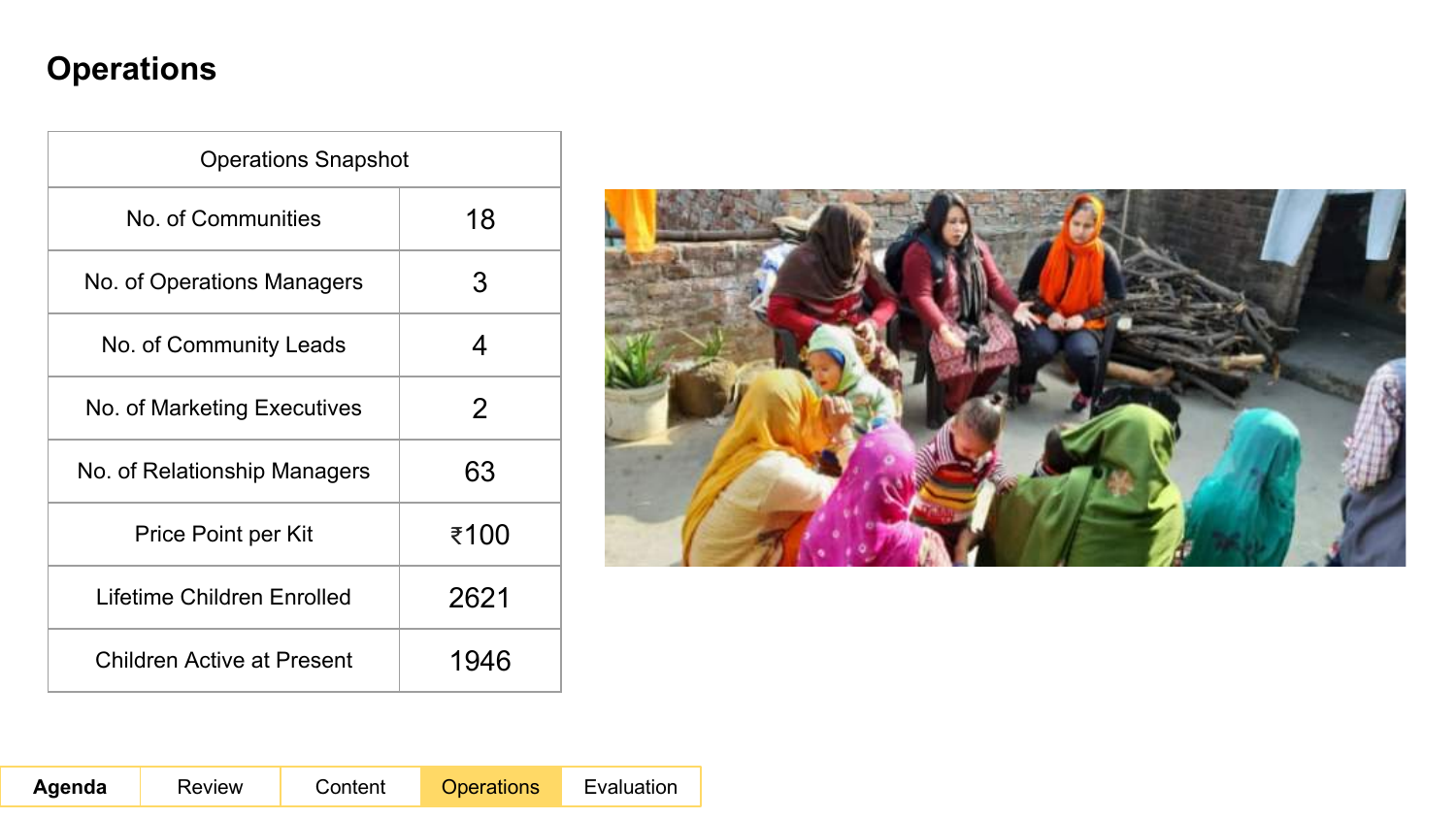## **Operations**

| <b>Operations Snapshot</b>        |      |
|-----------------------------------|------|
| No. of Communities                | 18   |
| No. of Operations Managers        | 3    |
| No. of Community Leads            | 4    |
| No. of Marketing Executives       | 2    |
| No. of Relationship Managers      | 63   |
| Price Point per Kit               | ₹100 |
| Lifetime Children Enrolled        | 2621 |
| <b>Children Active at Present</b> | 1946 |

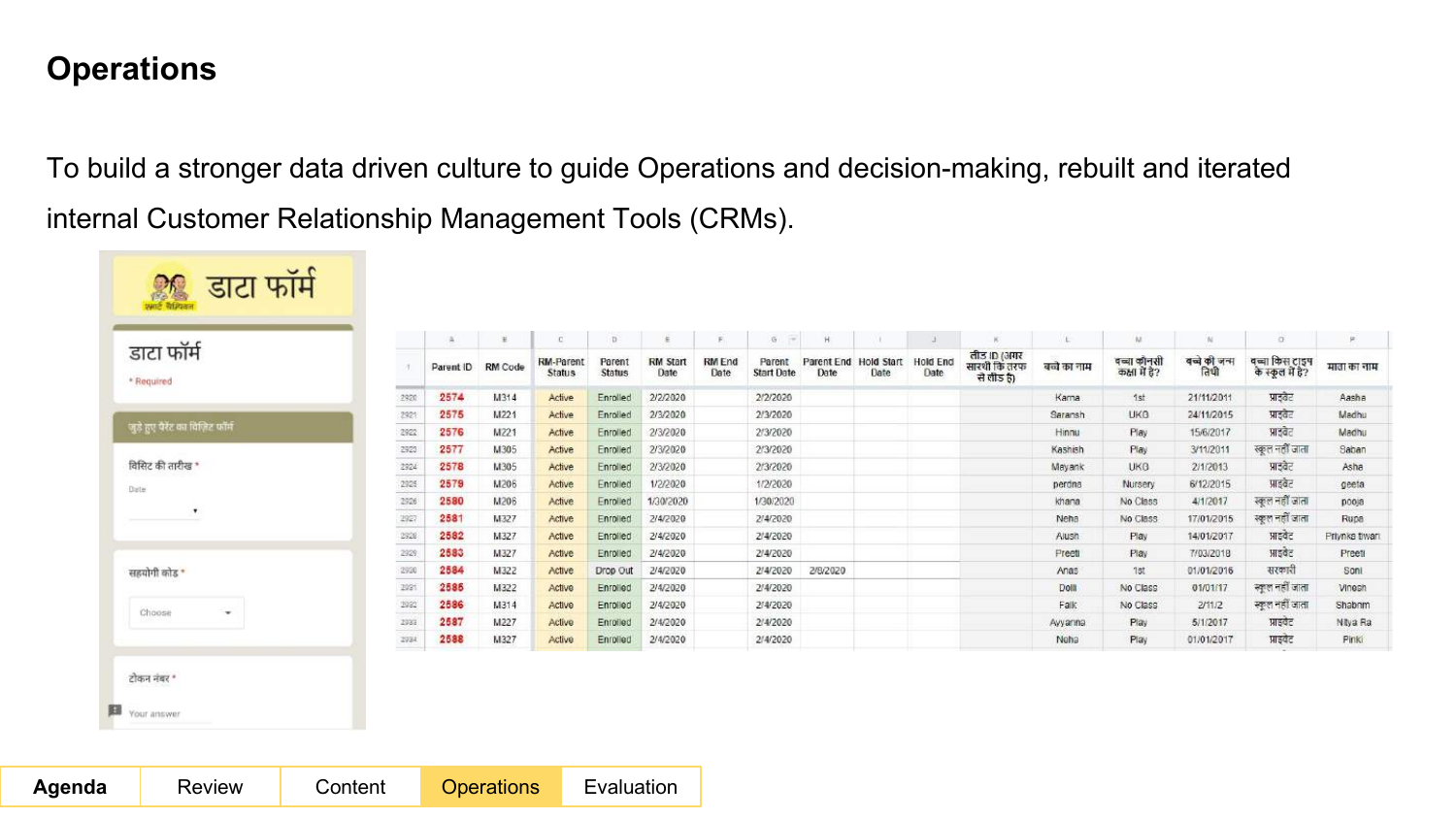### **Operations**

To build a stronger data driven culture to guide Operations and decision-making, rebuilt and iterated internal Customer Relationship Management Tools (CRMs).

|                                  |                                                                                                                                                                                                                                                                                                                                                                                                                                                        |           | $\mathbf{H}$   | C                                 | D                |                         | P.                    | $\mathfrak{S}$ :<br>$-1$    | H                             |      |                         |                                           |              | AJ.                          | <b>N</b>              | $\alpha$                           | P              |
|----------------------------------|--------------------------------------------------------------------------------------------------------------------------------------------------------------------------------------------------------------------------------------------------------------------------------------------------------------------------------------------------------------------------------------------------------------------------------------------------------|-----------|----------------|-----------------------------------|------------------|-------------------------|-----------------------|-----------------------------|-------------------------------|------|-------------------------|-------------------------------------------|--------------|------------------------------|-----------------------|------------------------------------|----------------|
| डाटा फॉर्म<br>* Required         |                                                                                                                                                                                                                                                                                                                                                                                                                                                        | Parent ID | <b>RM</b> Code | <b>RM-Parent</b><br><b>Status</b> | Parent<br>Status | <b>RM Start</b><br>Date | <b>RM</b> End<br>Date | Parent<br><b>Start Date</b> | Parent End Hold Start<br>Date | Date | <b>Hold End</b><br>Date | लीड ID (अगर<br>सारथी कि तरफ<br>ਦੇ ਗੀਤ ਹੈ) | बच्चे का नाम | वच्चा कॉनसी<br>कक्षा में है? | बच्चे की जन्म<br>तिथी | वच्चा किस टाइप<br>के स्कूल में है? | माता का नाम    |
|                                  | <b>ACCOUNT</b><br>2920                                                                                                                                                                                                                                                                                                                                                                                                                                 | 2574      | M314           | Active                            | Enrolled         | 2/2/2020                |                       | 2/2/2020                    |                               |      |                         |                                           | Kama         | 1st                          | 21/11/2011            | प्राडवेट                           | Aasha          |
|                                  | --<br>2921                                                                                                                                                                                                                                                                                                                                                                                                                                             | 2575      | M221           | Active                            | Enrolled         | 2/3/2020                |                       | 2/3/2020                    |                               |      |                         |                                           | Saransh      | <b>UKG</b>                   | 24/11/2015            | प्राइवेट                           | Madhu          |
| जुड़े हुए पैरेंट का विज़िट फॉर्म | -<br>2922                                                                                                                                                                                                                                                                                                                                                                                                                                              | 2576      | M221           | Active                            | Enrolled         | 2/3/2020                |                       | 2/3/2020                    |                               |      |                         |                                           | Hinnu        | Play                         | 15/6/2017             | प्राइवेट                           | Madhu          |
|                                  | ---<br>2923                                                                                                                                                                                                                                                                                                                                                                                                                                            | 2577      | M305           | Active                            | Enrolled         | 2/3/2020                |                       | 2/3/2020                    |                               |      |                         |                                           | Kashish      | Play                         | 3/11/2011             | स्कूल नहीं जाता                    | Saban          |
| विसिट की तारीख *                 | -<br>2924                                                                                                                                                                                                                                                                                                                                                                                                                                              | 2578      | M305           | Active                            | Enrolled         | 2/3/2020                |                       | 2/3/2020                    |                               |      |                         |                                           | Mayank       | UK <sub>3</sub>              | 2/1/2013              | प्राइवेट                           | Asha           |
| Date                             | --<br>2925                                                                                                                                                                                                                                                                                                                                                                                                                                             | 2579      | M206           | Active                            | Enrolled         | 1/2/2020                |                       | 1/2/2020                    |                               |      |                         |                                           | perdna       | Nursery                      | 6/12/2015             | आइवेट                              | geeta          |
|                                  | <b>CONTRACT</b><br>2926                                                                                                                                                                                                                                                                                                                                                                                                                                | 2580      | <b>M206</b>    | Active                            | Enrolled         | 1/30/2020               |                       | 1/30/2020                   |                               |      |                         |                                           | khana        | No Class                     | 4/1/2017              | स्कूल नहीं जाता                    | pooja          |
| $\bullet$                        | 2927                                                                                                                                                                                                                                                                                                                                                                                                                                                   | 2581      | M327           | Active                            | Enrolled         | 2/4/2020                |                       | 2/4/2020                    |                               |      |                         |                                           | Neha         | No Class                     | 17/01/2015            | स्कूल नहीं जाता                    | Rupa           |
|                                  | 222<br>2928<br><b>CONTRACTOR</b>                                                                                                                                                                                                                                                                                                                                                                                                                       | 2582      | M327           | Active                            | Enrolled         | 2/4/2020                |                       | 2/4/2020                    |                               |      |                         |                                           | Alush        | Play                         | 14/01/2017            | प्राइवेट                           | Priynke tiwari |
|                                  | 2929                                                                                                                                                                                                                                                                                                                                                                                                                                                   | 2583      | M327           | Active                            | Enrolled         | 2/4/2020                |                       | 2/4/2020                    |                               |      |                         |                                           | Preeti       | Play                         | 7/03/2018             | आइवेट                              | Preett         |
| सहयोगी कोड़                      | $\frac{1}{2} \left( \frac{1}{2} \right) + \frac{1}{2} \left( \frac{1}{2} \right) + \frac{1}{2} \left( \frac{1}{2} \right) + \frac{1}{2} \left( \frac{1}{2} \right) + \frac{1}{2} \left( \frac{1}{2} \right) + \frac{1}{2} \left( \frac{1}{2} \right) + \frac{1}{2} \left( \frac{1}{2} \right) + \frac{1}{2} \left( \frac{1}{2} \right) + \frac{1}{2} \left( \frac{1}{2} \right) + \frac{1}{2} \left( \frac{1}{2} \right) + \frac{1}{2} \left($<br>2930 | 2584      | M322           | Active                            | Drop Out         | 2/4/2020                |                       | 2/4/2020                    | 2/8/2020                      |      |                         |                                           | Anas         | 1st                          | 01/01/2016            | सरकारी                             | Sont           |
|                                  | <b>Contract</b><br>2021                                                                                                                                                                                                                                                                                                                                                                                                                                | 2585      | M322           | Active                            | Enrolled         | 2/4/2020                |                       | 2/4/2020                    |                               |      |                         |                                           | Doll         | No Class                     | 01/01/17              | स्कूल नहीं जाता                    | Vinesh         |
|                                  | 2992                                                                                                                                                                                                                                                                                                                                                                                                                                                   | 2586      | M314           | Active                            | Enrolled         | 2/4/2020                |                       | 2/4/2020                    |                               |      |                         |                                           | Falk         | No Class                     | 2/11/2                | स्कूल नहीं जाता                    | Shabnm         |
| Choose<br>$\mathbf{v}$           | - 22<br>2933                                                                                                                                                                                                                                                                                                                                                                                                                                           | 2587      | M227           | Active                            | Enrolled         | 2/4/2020                |                       | 2/4/2020                    |                               |      |                         |                                           | Ayyanna      | Play                         | 5/1/2017              | प्राइवेट                           | Nitya Ra       |
|                                  | =4<br>2934<br>فتشت                                                                                                                                                                                                                                                                                                                                                                                                                                     | 2588      | M327           | Active                            | Enrolled         | 2/4/2020                |                       | 2/4/2020                    |                               |      |                         |                                           | Neha         | Play                         | 01/01/2017            | प्राइवेट                           | Pinki          |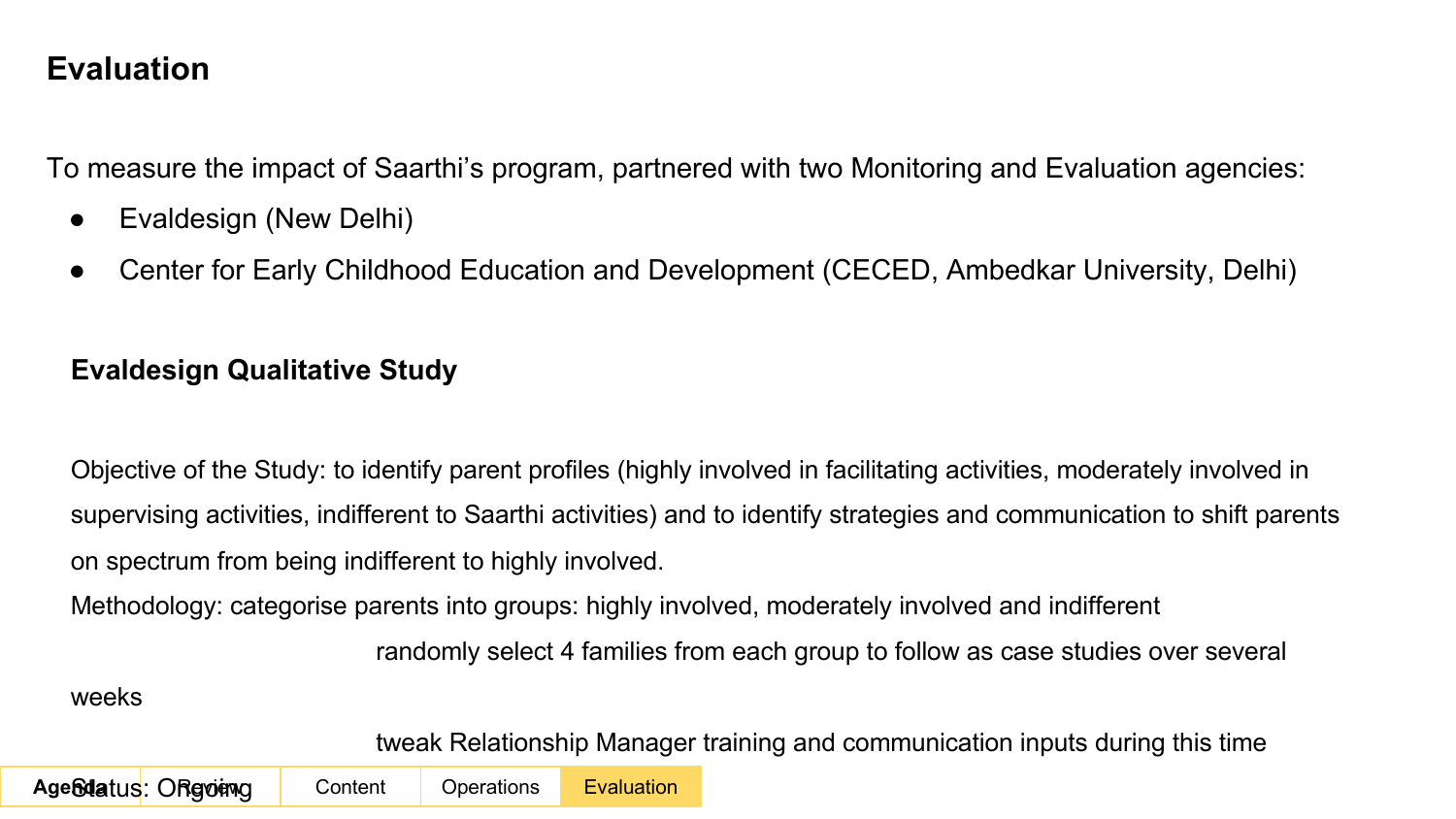### **Evaluation**

To measure the impact of Saarthi's program, partnered with two Monitoring and Evaluation agencies:

- Evaldesign (New Delhi)
- Center for Early Childhood Education and Development (CECED, Ambedkar University, Delhi)

#### **Evaldesign Qualitative Study**

Objective of the Study: to identify parent profiles (highly involved in facilitating activities, moderately involved in supervising activities, indifferent to Saarthi activities) and to identify strategies and communication to shift parents on spectrum from being indifferent to highly involved.

Methodology: categorise parents into groups: highly involved, moderately involved and indifferent

randomly select 4 families from each group to follow as case studies over several

weeks

tweak Relationship Manager training and communication inputs during this time